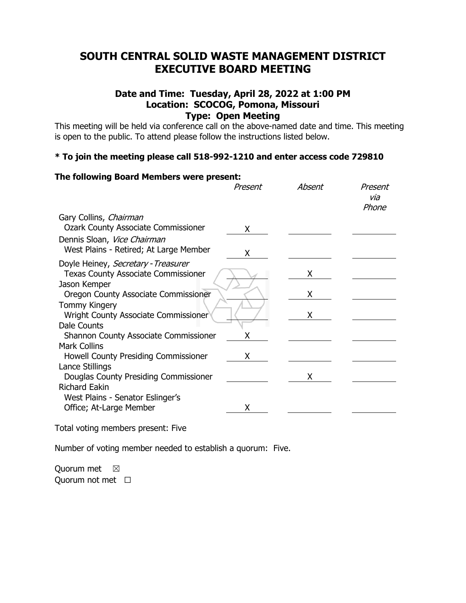# **SOUTH CENTRAL SOLID WASTE MANAGEMENT DISTRICT EXECUTIVE BOARD MEETING**

## **Date and Time: Tuesday, April 28, 2022 at 1:00 PM Location: SCOCOG, Pomona, Missouri Type: Open Meeting**

This meeting will be held via conference call on the above-named date and time. This meeting is open to the public. To attend please follow the instructions listed below.

## **\* To join the meeting please call 518-992-1210 and enter access code 729810**

## **The following Board Members were present:** Present Absent Present via Phone Gary Collins, Chairman Ozark County Associate Commissioner X Dennis Sloan, Vice Chairman West Plains - Retired; At Large Member  $\chi$ Doyle Heiney, Secretary - Treasurer Texas County Associate Commissioner **X** Jason Kemper Oregon County Associate Commissioner X Tommy Kingery Wright County Associate Commissioner **X** X Dale Counts Shannon County Associate Commissioner X Mark Collins Howell County Presiding Commissioner X Lance Stillings Douglas County Presiding Commissioner X Richard Eakin West Plains - Senator Eslinger's Office; At-Large Member X

Total voting members present: Five

Number of voting member needed to establish a quorum: Five.

Quorum met  $\boxtimes$ Quorum not met  $□$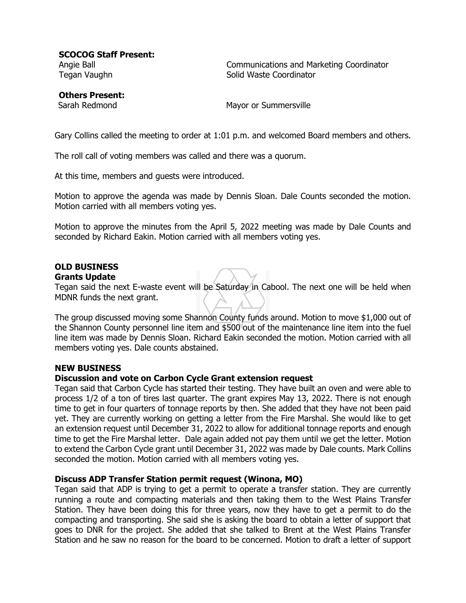**SCOCOG Staff Present:**

Angie Ball Communications and Marketing Coordinator Tegan Vaughn Solid Waste Coordinator

**Others Present:**

Sarah Redmond Mayor or Summersville

Gary Collins called the meeting to order at 1:01 p.m. and welcomed Board members and others.

The roll call of voting members was called and there was a quorum.

At this time, members and guests were introduced.

Motion to approve the agenda was made by Dennis Sloan. Dale Counts seconded the motion. Motion carried with all members voting yes.

Motion to approve the minutes from the April 5, 2022 meeting was made by Dale Counts and seconded by Richard Eakin. Motion carried with all members voting yes.

## **OLD BUSINESS**

#### **Grants Update**

Tegan said the next E-waste event will be Saturday in Cabool. The next one will be held when MDNR funds the next grant.

The group discussed moving some Shannon County funds around. Motion to move \$1,000 out of the Shannon County personnel line item and \$500 out of the maintenance line item into the fuel line item was made by Dennis Sloan. Richard Eakin seconded the motion. Motion carried with all members voting yes. Dale counts abstained.

#### **NEW BUSINESS**

#### **Discussion and vote on Carbon Cycle Grant extension request**

Tegan said that Carbon Cycle has started their testing. They have built an oven and were able to process 1/2 of a ton of tires last quarter. The grant expires May 13, 2022. There is not enough time to get in four quarters of tonnage reports by then. She added that they have not been paid yet. They are currently working on getting a letter from the Fire Marshal. She would like to get an extension request until December 31, 2022 to allow for additional tonnage reports and enough time to get the Fire Marshal letter. Dale again added not pay them until we get the letter. Motion to extend the Carbon Cycle grant until December 31, 2022 was made by Dale counts. Mark Collins seconded the motion. Motion carried with all members voting yes.

#### **Discuss ADP Transfer Station permit request (Winona, MO)**

Tegan said that ADP is trying to get a permit to operate a transfer station. They are currently running a route and compacting materials and then taking them to the West Plains Transfer Station. They have been doing this for three years, now they have to get a permit to do the compacting and transporting. She said she is asking the board to obtain a letter of support that goes to DNR for the project. She added that she talked to Brent at the West Plains Transfer Station and he saw no reason for the board to be concerned. Motion to draft a letter of support